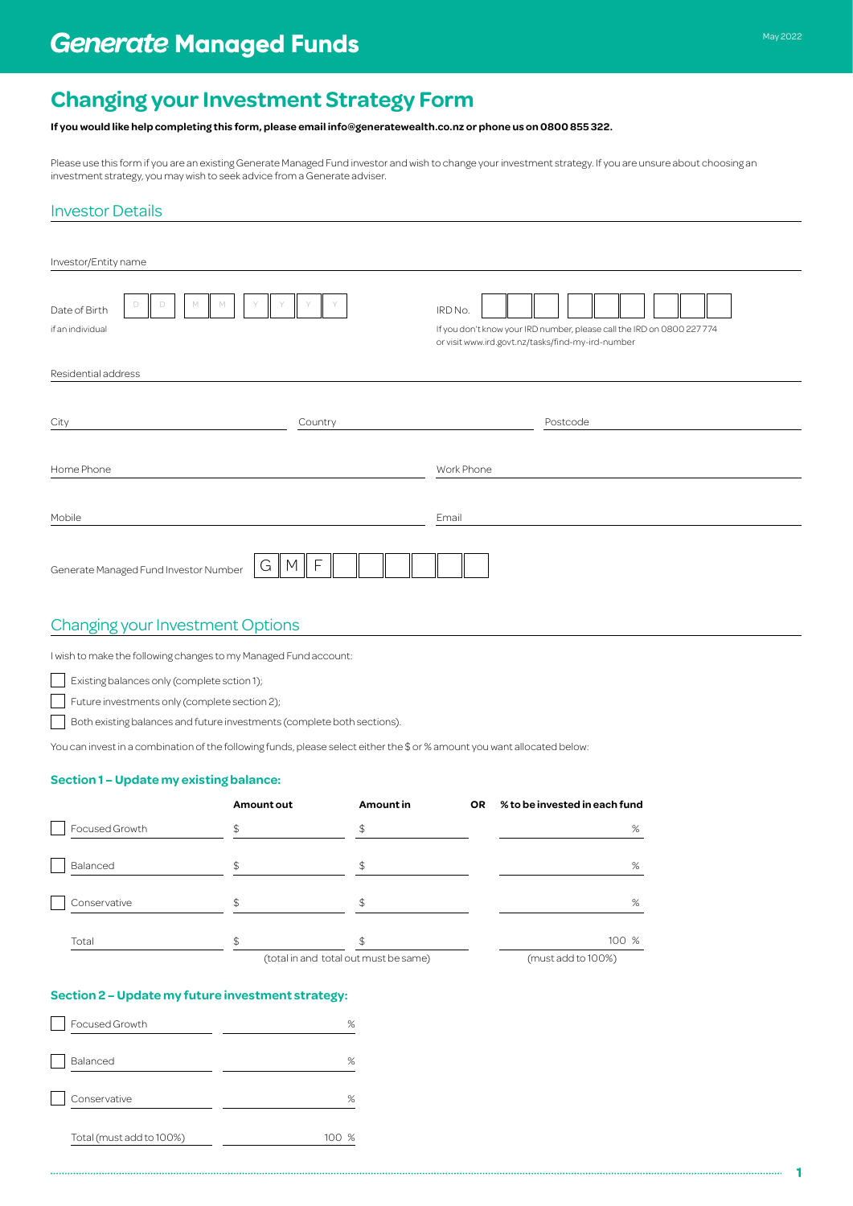# **Changing your Investment Strategy Form**

#### **If you would like help completing this form, please email info@generatewealth.co.nz or phone us on 0800 855 322.**

investment strategy, you may wish to seek advice from a Generate adviser.

#### Investor Details

|                                                       | investment strategy, you may wish to seek advice from a Generate adviser.                                                 |                   |                                             |                                                                                                                                        | Please use this form if you are an existing Generate Managed Fund investor and wish to change your investment strategy. If you are unsure about choosing an |  |  |
|-------------------------------------------------------|---------------------------------------------------------------------------------------------------------------------------|-------------------|---------------------------------------------|----------------------------------------------------------------------------------------------------------------------------------------|-------------------------------------------------------------------------------------------------------------------------------------------------------------|--|--|
|                                                       | <b>Investor Details</b>                                                                                                   |                   |                                             |                                                                                                                                        |                                                                                                                                                             |  |  |
|                                                       | Investor/Entity name                                                                                                      |                   |                                             |                                                                                                                                        |                                                                                                                                                             |  |  |
| D<br>М<br>D<br>М<br>Date of Birth<br>if an individual |                                                                                                                           |                   |                                             | IRD No.<br>If you don't know your IRD number, please call the IRD on 0800 227 774<br>or visit www.ird.govt.nz/tasks/find-my-ird-number |                                                                                                                                                             |  |  |
|                                                       | Residential address                                                                                                       |                   |                                             |                                                                                                                                        |                                                                                                                                                             |  |  |
| City<br>Country                                       |                                                                                                                           |                   |                                             | Postcode                                                                                                                               |                                                                                                                                                             |  |  |
|                                                       | Home Phone                                                                                                                |                   |                                             | Work Phone                                                                                                                             |                                                                                                                                                             |  |  |
| Mobile                                                |                                                                                                                           |                   |                                             | Email                                                                                                                                  |                                                                                                                                                             |  |  |
|                                                       | $\mathsf{F}$<br>G<br>M<br>Generate Managed Fund Investor Number                                                           |                   |                                             |                                                                                                                                        |                                                                                                                                                             |  |  |
|                                                       | <b>Changing your Investment Options</b>                                                                                   |                   |                                             |                                                                                                                                        |                                                                                                                                                             |  |  |
|                                                       | I wish to make the following changes to my Managed Fund account:                                                          |                   |                                             |                                                                                                                                        |                                                                                                                                                             |  |  |
|                                                       | Existing balances only (complete sction 1);                                                                               |                   |                                             |                                                                                                                                        |                                                                                                                                                             |  |  |
|                                                       | Future investments only (complete section 2);                                                                             |                   |                                             |                                                                                                                                        |                                                                                                                                                             |  |  |
|                                                       | Both existing balances and future investments (complete both sections).                                                   |                   |                                             |                                                                                                                                        |                                                                                                                                                             |  |  |
|                                                       | You can invest in a combination of the following funds, please select either the \$ or % amount you want allocated below: |                   |                                             |                                                                                                                                        |                                                                                                                                                             |  |  |
|                                                       | Section 1 - Update my existing balance:                                                                                   |                   |                                             |                                                                                                                                        |                                                                                                                                                             |  |  |
|                                                       |                                                                                                                           | <b>Amount out</b> | Amount in                                   | OR                                                                                                                                     | % to be invested in each fund                                                                                                                               |  |  |
|                                                       | Focused Growth                                                                                                            | \$                | \$                                          |                                                                                                                                        | $\%$                                                                                                                                                        |  |  |
|                                                       | Balanced                                                                                                                  | \$                | \$                                          |                                                                                                                                        | $\%$                                                                                                                                                        |  |  |
|                                                       | Conservative                                                                                                              | \$                | \$                                          |                                                                                                                                        | $\%$                                                                                                                                                        |  |  |
|                                                       |                                                                                                                           |                   |                                             |                                                                                                                                        |                                                                                                                                                             |  |  |
|                                                       | Total                                                                                                                     | \$                | \$<br>(total in and total out must be same) |                                                                                                                                        | 100 %<br>(must add to 100%)                                                                                                                                 |  |  |
|                                                       |                                                                                                                           |                   |                                             |                                                                                                                                        |                                                                                                                                                             |  |  |
|                                                       | Section 2 - Update my future investment strategy:                                                                         |                   |                                             |                                                                                                                                        |                                                                                                                                                             |  |  |
|                                                       | Focused Growth                                                                                                            |                   | %                                           |                                                                                                                                        |                                                                                                                                                             |  |  |
|                                                       | Balanced                                                                                                                  |                   | $\%$                                        |                                                                                                                                        |                                                                                                                                                             |  |  |
|                                                       | Conservative                                                                                                              |                   | $\%$                                        |                                                                                                                                        |                                                                                                                                                             |  |  |
|                                                       | Total (must add to 100%)                                                                                                  |                   | 100 %                                       |                                                                                                                                        |                                                                                                                                                             |  |  |
|                                                       |                                                                                                                           |                   |                                             |                                                                                                                                        |                                                                                                                                                             |  |  |

## Changing your Investment Options

#### **Section 1 – Update my existing balance:**

|                | Amount out | Amount in                             | <b>OR</b> | % to be invested in each fund |
|----------------|------------|---------------------------------------|-----------|-------------------------------|
| Focused Growth |            | \$                                    |           | %                             |
| Balanced       |            | \$.                                   |           | %                             |
| Conservative   | \$         | \$                                    |           | %                             |
| Total          |            |                                       |           | 100 %                         |
|                |            | (total in and total out must be same) |           | (must add to 100%)            |

#### **Section 2 – Update my future investment strategy:**

| Focused Growth           | %        |
|--------------------------|----------|
| Balanced                 | %        |
| Conservative             | %        |
| Total (must add to 100%) | ℅<br>100 |